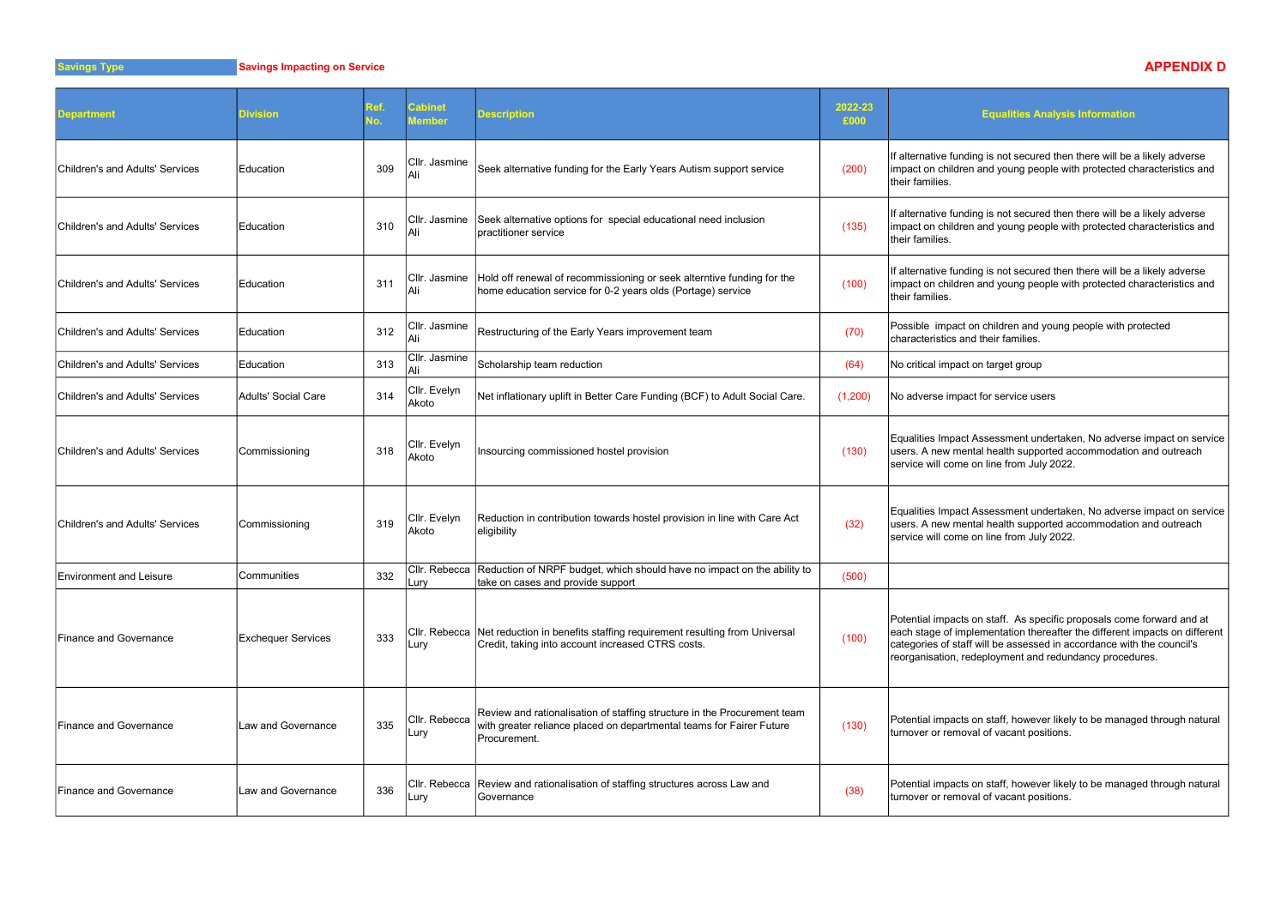avings Type **Savings Impacting on Service** Savings Impacting on Service APPENDIX D

| <b>Department</b>               | <b>Division</b>           | Ref.<br>١o. | <b>Cabinet</b><br>Member | <b>Description</b>                                                                                                                                               | 2022-23<br>£000 | <b>Equalities Anal</b>                                                                                                                                        |
|---------------------------------|---------------------------|-------------|--------------------------|------------------------------------------------------------------------------------------------------------------------------------------------------------------|-----------------|---------------------------------------------------------------------------------------------------------------------------------------------------------------|
| Children's and Adults' Services | Education                 | 309         | Cllr. Jasmine            | Seek alternative funding for the Early Years Autism support service                                                                                              | (200)           | If alternative funding is not secured t<br>impact on children and young people<br>their families.                                                             |
| Children's and Adults' Services | <b>IEducation</b>         | 310         | Cllr. Jasmine<br>Ali     | Seek alternative options for special educational need inclusion<br>practitioner service                                                                          | (135)           | If alternative funding is not secured t<br>impact on children and young people<br>their families.                                                             |
| Children's and Adults' Services | <b>IEducation</b>         | 311         | Cllr. Jasmine_<br>Ali    | Hold off renewal of recommissioning or seek alterntive funding for the<br>home education service for 0-2 years olds (Portage) service                            | (100)           | If alternative funding is not secured t<br>impact on children and young people<br>their families.                                                             |
| Children's and Adults' Services | <b>IEducation</b>         | 312         | Cllr. Jasmine<br>Ali     | Restructuring of the Early Years improvement team                                                                                                                | (70)            | Possible impact on children and you<br>characteristics and their families.                                                                                    |
| Children's and Adults' Services | Education                 | 313         | Cllr. Jasmine<br>Ali     | Scholarship team reduction                                                                                                                                       | (64)            | No critical impact on target group                                                                                                                            |
| Children's and Adults' Services | Adults' Social Care       | 314         | Cllr. Evelyn<br>Akoto    | Net inflationary uplift in Better Care Funding (BCF) to Adult Social Care.                                                                                       | (1,200)         | No adverse impact for service users                                                                                                                           |
| Children's and Adults' Services | Commissioning             | 318         | Cllr. Evelyn<br>Akoto    | Insourcing commissioned hostel provision                                                                                                                         | (130)           | Equalities Impact Assessment under<br>users. A new mental health supporte<br>service will come on line from July 2                                            |
| Children's and Adults' Services | Commissioning             | 319         | Cllr. Evelyn<br> Akoto   | Reduction in contribution towards hostel provision in line with Care Act<br>eligibility                                                                          | (32)            | Equalities Impact Assessment under<br>users. A new mental health supporte<br>service will come on line from July 2                                            |
| <b>Environment and Leisure</b>  | Communities               | 332         | Lury                     | CIIr. Rebecca Reduction of NRPF budget, which should have no impact on the ability to<br>take on cases and provide support                                       | (500)           |                                                                                                                                                               |
| Finance and Governance          | <b>Exchequer Services</b> | 333         | Lury                     | CIIr. Rebecca Net reduction in benefits staffing requirement resulting from Universal<br>Credit, taking into account increased CTRS costs.                       | (100)           | Potential impacts on staff. As specif<br>each stage of implementation therea<br>categories of staff will be assessed i<br>reorganisation, redeployment and re |
| <b>Finance and Governance</b>   | Law and Governance        | 335         | Cllr. Rebecca<br>Lury    | Review and rationalisation of staffing structure in the Procurement team<br>with greater reliance placed on departmental teams for Fairer Future<br>Procurement. | (130)           | Potential impacts on staff, however I<br>turnover or removal of vacant positic                                                                                |
| <b>Finance and Governance</b>   | Law and Governance        | 336         | Lury                     | CIIr. Rebecca Review and rationalisation of staffing structures across Law and<br> Governance                                                                    | (38)            | Potential impacts on staff, however I<br>turnover or removal of vacant positic                                                                                |

## **Equalities Analysis Information**

ing is not secured then there will be a likely adverse i and young people with protected characteristics and

ing is not secured then there will be a likely adverse and young people with protected characteristics and

ing is not secured then there will be a likely adverse i and young people with protected characteristics and

on children and young people with protected d their families.

Assessment undertaken, No adverse impact on service tal health supported accommodation and outreach on line from July 2022.

Assessment undertaken, No adverse impact on service ital health supported accommodation and outreach on line from July 2022.

on staff. As specific proposals come forward and at lementation thereafter the different impacts on different will be assessed in accordance with the council's deployment and redundancy procedures.

on staff, however likely to be managed through natural ral of vacant positions.

on staff, however likely to be managed through natural ral of vacant positions.